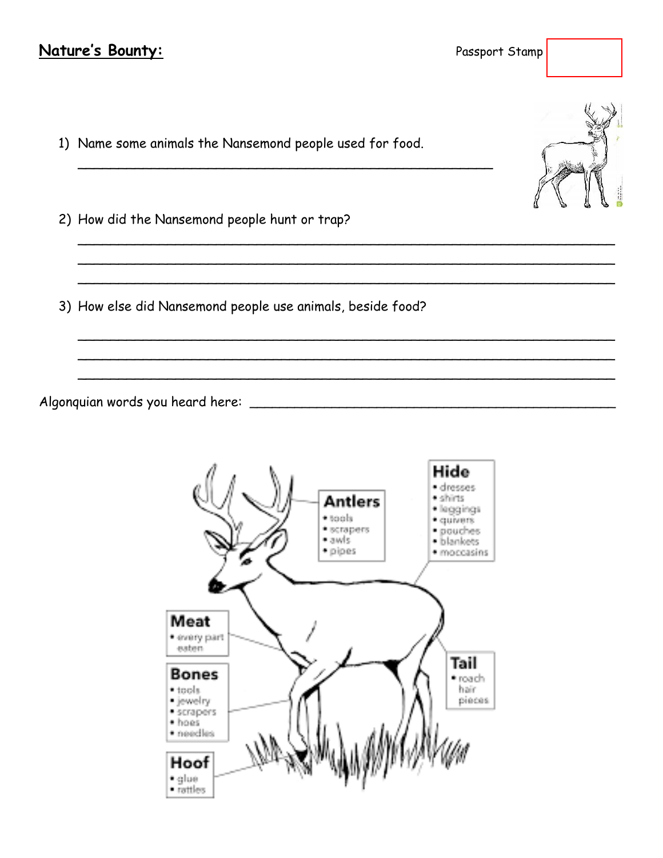## Nature's Bounty:

Passport Stamp

- 1) Name some animals the Nansemond people used for food.
- 2) How did the Nansemond people hunt or trap?
- 3) How else did Nansemond people use animals, beside food?

Algonquian words you heard here:



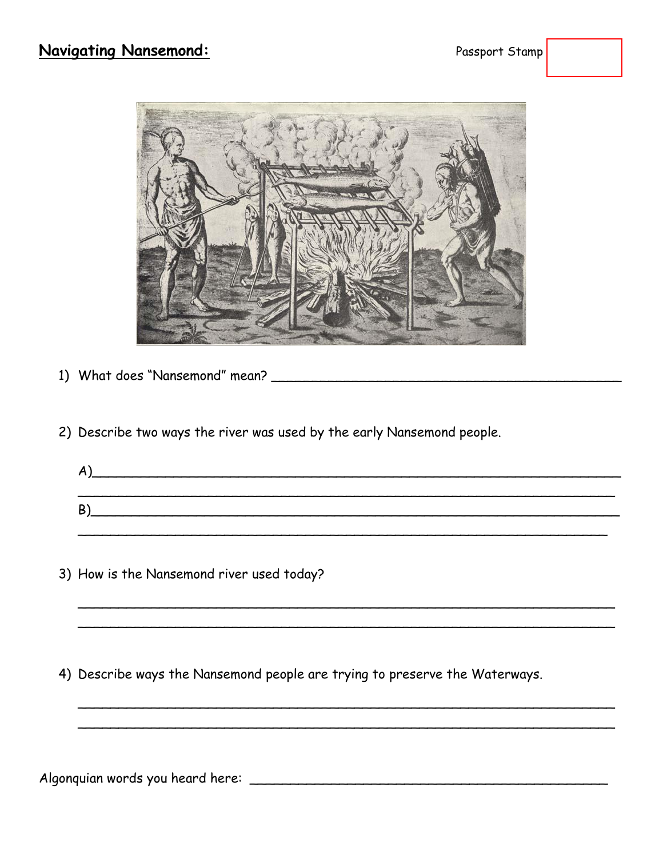

- 
- 2) Describe two ways the river was used by the early Nansemond people.

| A |  |  |  |
|---|--|--|--|
|   |  |  |  |
| B |  |  |  |
|   |  |  |  |

3) How is the Nansemond river used today?

4) Describe ways the Nansemond people are trying to preserve the Waterways.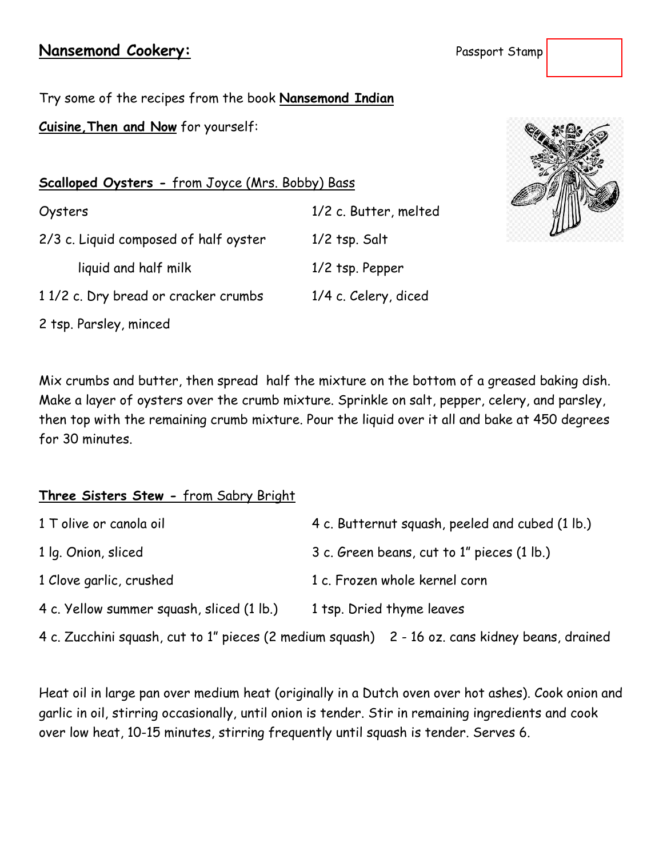## **Nansemond Cookery:** Passes Stamps Stamps Stamps Stamps Stamps Stamps Stamps Stamps Stamps Stamps Stamps Stamps Stamps Stamps Stamps Stamps Stamps Stamps Stamps Stamps Stamps Stamps Stamps Stamps Stamps Stamps Stamps Stamp

| <sup>9</sup> assport Stamp |  |  |
|----------------------------|--|--|
|----------------------------|--|--|

Try some of the recipes from the book **Nansemond Indian Cuisine,Then and Now** for yourself:

**Scalloped Oysters -** from Joyce (Mrs. Bobby) Bass

Oysters 1/2 c. Butter, melted 2/3 c. Liquid composed of half oyster 1/2 tsp. Salt liquid and half milk 1/2 tsp. Pepper 1 1/2 c. Dry bread or cracker crumbs 1/4 c. Celery, diced 2 tsp. Parsley, minced



Mix crumbs and butter, then spread half the mixture on the bottom of a greased baking dish. Make a layer of oysters over the crumb mixture. Sprinkle on salt, pepper, celery, and parsley, then top with the remaining crumb mixture. Pour the liquid over it all and bake at 450 degrees for 30 minutes.

## **Three Sisters Stew -** from Sabry Bright

| 1 T olive or canola oil                   | 4 c. Butternut squash, peeled and cubed (1 lb.)                                                |  |
|-------------------------------------------|------------------------------------------------------------------------------------------------|--|
| 1 lg. Onion, sliced                       | 3 c. Green beans, cut to 1" pieces (1 lb.)                                                     |  |
| 1 Clove garlic, crushed                   | 1 c. Frozen whole kernel corn                                                                  |  |
| 4 c. Yellow summer squash, sliced (1 lb.) | 1 tsp. Dried thyme leaves                                                                      |  |
|                                           | 4 c. Zucchini squash, cut to 1" pieces (2 medium squash) 2 - 16 oz. cans kidney beans, drained |  |

Heat oil in large pan over medium heat (originally in a Dutch oven over hot ashes). Cook onion and garlic in oil, stirring occasionally, until onion is tender. Stir in remaining ingredients and cook over low heat, 10-15 minutes, stirring frequently until squash is tender. Serves 6.